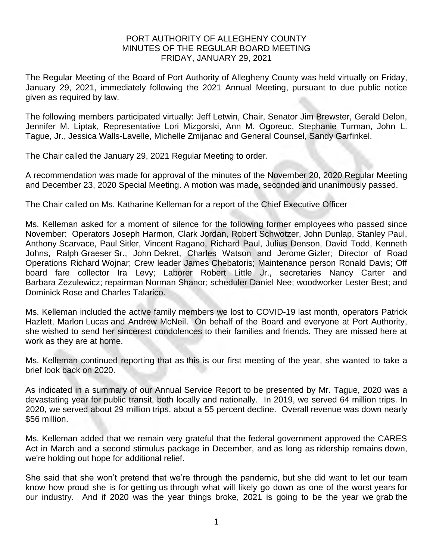## PORT AUTHORITY OF ALLEGHENY COUNTY MINUTES OF THE REGULAR BOARD MEETING FRIDAY, JANUARY 29, 2021

The Regular Meeting of the Board of Port Authority of Allegheny County was held virtually on Friday, January 29, 2021, immediately following the 2021 Annual Meeting, pursuant to due public notice given as required by law.

The following members participated virtually: Jeff Letwin, Chair, Senator Jim Brewster, Gerald Delon, Jennifer M. Liptak, Representative Lori Mizgorski, Ann M. Ogoreuc, Stephanie Turman, John L. Tague, Jr., Jessica Walls-Lavelle, Michelle Zmijanac and General Counsel, Sandy Garfinkel.

The Chair called the January 29, 2021 Regular Meeting to order.

A recommendation was made for approval of the minutes of the November 20, 2020 Regular Meeting and December 23, 2020 Special Meeting. A motion was made, seconded and unanimously passed.

The Chair called on Ms. Katharine Kelleman for a report of the Chief Executive Officer

Ms. Kelleman asked for a moment of silence for the following former employees who passed since November: Operators Joseph Harmon, Clark Jordan, Robert Schwotzer, John Dunlap, Stanley Paul, Anthony Scarvace, Paul Sitler, Vincent Ragano, Richard Paul, Julius Denson, David Todd, Kenneth Johns, Ralph Graeser Sr., John Dekret, Charles Watson and Jerome Gizler; Director of Road Operations Richard Wojnar; Crew leader James Chebatoris; Maintenance person Ronald Davis; Off board fare collector Ira Levy; Laborer Robert Little Jr., secretaries Nancy Carter and Barbara Zezulewicz; repairman Norman Shanor; scheduler Daniel Nee; woodworker Lester Best; and Dominick Rose and Charles Talarico.

Ms. Kelleman included the active family members we lost to COVID-19 last month, operators Patrick Hazlett, Marlon Lucas and Andrew McNeil. On behalf of the Board and everyone at Port Authority, she wished to send her sincerest condolences to their families and friends. They are missed here at work as they are at home.

Ms. Kelleman continued reporting that as this is our first meeting of the year, she wanted to take a brief look back on 2020.

As indicated in a summary of our Annual Service Report to be presented by Mr. Tague, 2020 was a devastating year for public transit, both locally and nationally. In 2019, we served 64 million trips. In 2020, we served about 29 million trips, about a 55 percent decline. Overall revenue was down nearly \$56 million.

Ms. Kelleman added that we remain very grateful that the federal government approved the CARES Act in March and a second stimulus package in December, and as long as ridership remains down, we're holding out hope for additional relief.

She said that she won't pretend that we're through the pandemic, but she did want to let our team know how proud she is for getting us through what will likely go down as one of the worst years for our industry. And if 2020 was the year things broke, 2021 is going to be the year we grab the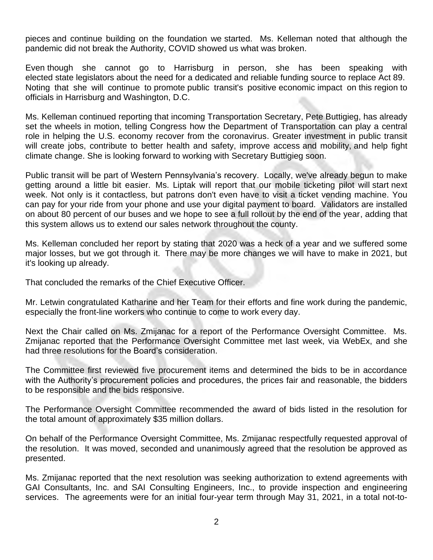pieces and continue building on the foundation we started. Ms. Kelleman noted that although the pandemic did not break the Authority, COVID showed us what was broken.

Even though she cannot go to Harrisburg in person, she has been speaking with elected state legislators about the need for a dedicated and reliable funding source to replace Act 89. Noting that she will continue to promote public transit's positive economic impact on this region to officials in Harrisburg and Washington, D.C.

Ms. Kelleman continued reporting that incoming Transportation Secretary, Pete Buttigieg, has already set the wheels in motion, telling Congress how the Department of Transportation can play a central role in helping the U.S. economy recover from the coronavirus. Greater investment in public transit will create jobs, contribute to better health and safety, improve access and mobility, and help fight climate change. She is looking forward to working with Secretary Buttigieg soon.

Public transit will be part of Western Pennsylvania's recovery. Locally, we've already begun to make getting around a little bit easier. Ms. Liptak will report that our mobile ticketing pilot will start next week. Not only is it contactless, but patrons don't even have to visit a ticket vending machine. You can pay for your ride from your phone and use your digital payment to board. Validators are installed on about 80 percent of our buses and we hope to see a full rollout by the end of the year, adding that this system allows us to extend our sales network throughout the county.

Ms. Kelleman concluded her report by stating that 2020 was a heck of a year and we suffered some major losses, but we got through it. There may be more changes we will have to make in 2021, but it's looking up already.

That concluded the remarks of the Chief Executive Officer.

Mr. Letwin congratulated Katharine and her Team for their efforts and fine work during the pandemic, especially the front-line workers who continue to come to work every day.

Next the Chair called on Ms. Zmijanac for a report of the Performance Oversight Committee. Ms. Zmijanac reported that the Performance Oversight Committee met last week, via WebEx, and she had three resolutions for the Board's consideration.

The Committee first reviewed five procurement items and determined the bids to be in accordance with the Authority's procurement policies and procedures, the prices fair and reasonable, the bidders to be responsible and the bids responsive.

The Performance Oversight Committee recommended the award of bids listed in the resolution for the total amount of approximately \$35 million dollars.

On behalf of the Performance Oversight Committee, Ms. Zmijanac respectfully requested approval of the resolution. It was moved, seconded and unanimously agreed that the resolution be approved as presented.

Ms. Zmijanac reported that the next resolution was seeking authorization to extend agreements with GAI Consultants, Inc. and SAI Consulting Engineers, Inc., to provide inspection and engineering services. The agreements were for an initial four-year term through May 31, 2021, in a total not-to-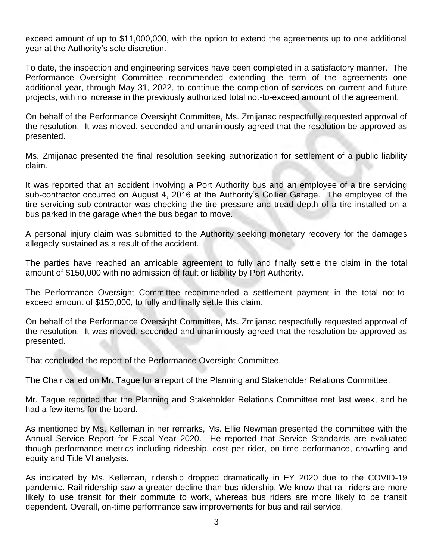exceed amount of up to \$11,000,000, with the option to extend the agreements up to one additional year at the Authority's sole discretion.

To date, the inspection and engineering services have been completed in a satisfactory manner. The Performance Oversight Committee recommended extending the term of the agreements one additional year, through May 31, 2022, to continue the completion of services on current and future projects, with no increase in the previously authorized total not-to-exceed amount of the agreement.

On behalf of the Performance Oversight Committee, Ms. Zmijanac respectfully requested approval of the resolution. It was moved, seconded and unanimously agreed that the resolution be approved as presented.

Ms. Zmijanac presented the final resolution seeking authorization for settlement of a public liability claim.

It was reported that an accident involving a Port Authority bus and an employee of a tire servicing sub-contractor occurred on August 4, 2016 at the Authority's Collier Garage. The employee of the tire servicing sub-contractor was checking the tire pressure and tread depth of a tire installed on a bus parked in the garage when the bus began to move.

A personal injury claim was submitted to the Authority seeking monetary recovery for the damages allegedly sustained as a result of the accident.

The parties have reached an amicable agreement to fully and finally settle the claim in the total amount of \$150,000 with no admission of fault or liability by Port Authority.

The Performance Oversight Committee recommended a settlement payment in the total not-toexceed amount of \$150,000, to fully and finally settle this claim.

On behalf of the Performance Oversight Committee, Ms. Zmijanac respectfully requested approval of the resolution. It was moved, seconded and unanimously agreed that the resolution be approved as presented.

That concluded the report of the Performance Oversight Committee.

The Chair called on Mr. Tague for a report of the Planning and Stakeholder Relations Committee.

Mr. Tague reported that the Planning and Stakeholder Relations Committee met last week, and he had a few items for the board.

As mentioned by Ms. Kelleman in her remarks, Ms. Ellie Newman presented the committee with the Annual Service Report for Fiscal Year 2020. He reported that Service Standards are evaluated though performance metrics including ridership, cost per rider, on-time performance, crowding and equity and Title VI analysis.

As indicated by Ms. Kelleman, ridership dropped dramatically in FY 2020 due to the COVID-19 pandemic. Rail ridership saw a greater decline than bus ridership. We know that rail riders are more likely to use transit for their commute to work, whereas bus riders are more likely to be transit dependent. Overall, on-time performance saw improvements for bus and rail service.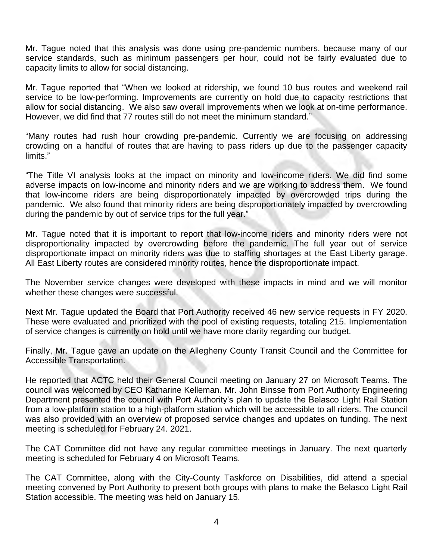Mr. Tague noted that this analysis was done using pre-pandemic numbers, because many of our service standards, such as minimum passengers per hour, could not be fairly evaluated due to capacity limits to allow for social distancing.

Mr. Tague reported that "When we looked at ridership, we found 10 bus routes and weekend rail service to be low-performing. Improvements are currently on hold due to capacity restrictions that allow for social distancing. We also saw overall improvements when we look at on-time performance. However, we did find that 77 routes still do not meet the minimum standard."

"Many routes had rush hour crowding pre-pandemic. Currently we are focusing on addressing crowding on a handful of routes that are having to pass riders up due to the passenger capacity limits."

"The Title VI analysis looks at the impact on minority and low-income riders. We did find some adverse impacts on low-income and minority riders and we are working to address them. We found that low-income riders are being disproportionately impacted by overcrowded trips during the pandemic. We also found that minority riders are being disproportionately impacted by overcrowding during the pandemic by out of service trips for the full year."

Mr. Tague noted that it is important to report that low-income riders and minority riders were not disproportionality impacted by overcrowding before the pandemic. The full year out of service disproportionate impact on minority riders was due to staffing shortages at the East Liberty garage. All East Liberty routes are considered minority routes, hence the disproportionate impact.

The November service changes were developed with these impacts in mind and we will monitor whether these changes were successful.

Next Mr. Tague updated the Board that Port Authority received 46 new service requests in FY 2020. These were evaluated and prioritized with the pool of existing requests, totaling 215. Implementation of service changes is currently on hold until we have more clarity regarding our budget.

Finally, Mr. Tague gave an update on the Allegheny County Transit Council and the Committee for Accessible Transportation.

He reported that ACTC held their General Council meeting on January 27 on Microsoft Teams. The council was welcomed by CEO Katharine Kelleman. Mr. John Binsse from Port Authority Engineering Department presented the council with Port Authority's plan to update the Belasco Light Rail Station from a low-platform station to a high-platform station which will be accessible to all riders. The council was also provided with an overview of proposed service changes and updates on funding. The next meeting is scheduled for February 24. 2021.

The CAT Committee did not have any regular committee meetings in January. The next quarterly meeting is scheduled for February 4 on Microsoft Teams.

The CAT Committee, along with the City-County Taskforce on Disabilities, did attend a special meeting convened by Port Authority to present both groups with plans to make the Belasco Light Rail Station accessible. The meeting was held on January 15.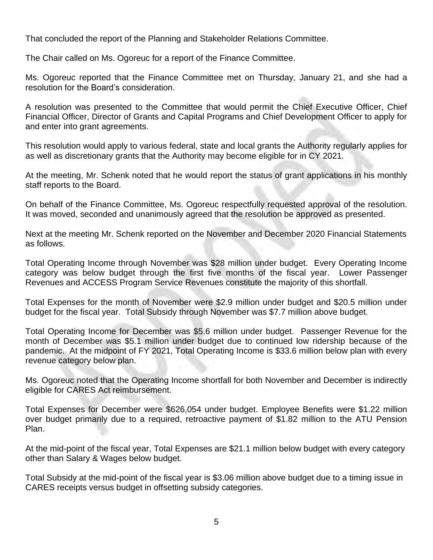That concluded the report of the Planning and Stakeholder Relations Committee.

The Chair called on Ms. Ogoreuc for a report of the Finance Committee.

Ms. Ogoreuc reported that the Finance Committee met on Thursday, January 21, and she had a resolution for the Board's consideration.

A resolution was presented to the Committee that would permit the Chief Executive Officer, Chief Financial Officer, Director of Grants and Capital Programs and Chief Development Officer to apply for and enter into grant agreements.

This resolution would apply to various federal, state and local grants the Authority regularly applies for as well as discretionary grants that the Authority may become eligible for in CY 2021.

At the meeting, Mr. Schenk noted that he would report the status of grant applications in his monthly staff reports to the Board.

On behalf of the Finance Committee, Ms. Ogoreuc respectfully requested approval of the resolution. It was moved, seconded and unanimously agreed that the resolution be approved as presented.

Next at the meeting Mr. Schenk reported on the November and December 2020 Financial Statements as follows.

Total Operating Income through November was \$28 million under budget. Every Operating Income category was below budget through the first five months of the fiscal year. Lower Passenger Revenues and ACCESS Program Service Revenues constitute the majority of this shortfall.

Total Expenses for the month of November were \$2.9 million under budget and \$20.5 million under budget for the fiscal year. Total Subsidy through November was \$7.7 million above budget.

Total Operating Income for December was \$5.6 million under budget. Passenger Revenue for the month of December was \$5.1 million under budget due to continued low ridership because of the pandemic. At the midpoint of FY 2021, Total Operating Income is \$33.6 million below plan with every revenue category below plan.

Ms. Ogoreuc noted that the Operating Income shortfall for both November and December is indirectly eligible for CARES Act reimbursement.

Total Expenses for December were \$626,054 under budget. Employee Benefits were \$1.22 million over budget primarily due to a required, retroactive payment of \$1.82 million to the ATU Pension Plan.

At the mid-point of the fiscal year, Total Expenses are \$21.1 million below budget with every category other than Salary & Wages below budget.

Total Subsidy at the mid-point of the fiscal year is \$3.06 million above budget due to a timing issue in CARES receipts versus budget in offsetting subsidy categories.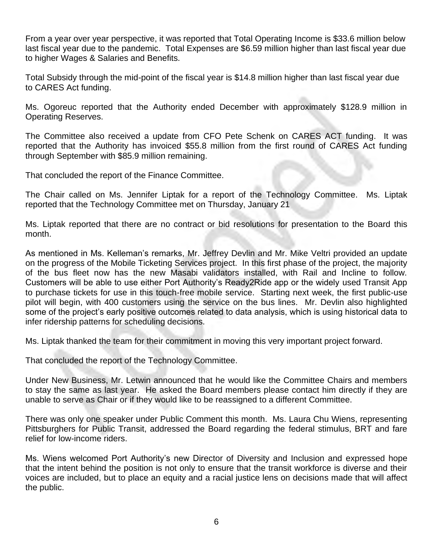From a year over year perspective, it was reported that Total Operating Income is \$33.6 million below last fiscal year due to the pandemic. Total Expenses are \$6.59 million higher than last fiscal year due to higher Wages & Salaries and Benefits.

Total Subsidy through the mid-point of the fiscal year is \$14.8 million higher than last fiscal year due to CARES Act funding.

Ms. Ogoreuc reported that the Authority ended December with approximately \$128.9 million in Operating Reserves.

The Committee also received a update from CFO Pete Schenk on CARES ACT funding. It was reported that the Authority has invoiced \$55.8 million from the first round of CARES Act funding through September with \$85.9 million remaining.

That concluded the report of the Finance Committee.

The Chair called on Ms. Jennifer Liptak for a report of the Technology Committee. Ms. Liptak reported that the Technology Committee met on Thursday, January 21

Ms. Liptak reported that there are no contract or bid resolutions for presentation to the Board this month.

As mentioned in Ms. Kelleman's remarks, Mr. Jeffrey Devlin and Mr. Mike Veltri provided an update on the progress of the Mobile Ticketing Services project. In this first phase of the project, the majority of the bus fleet now has the new Masabi validators installed, with Rail and Incline to follow. Customers will be able to use either Port Authority's Ready2Ride app or the widely used Transit App to purchase tickets for use in this touch-free mobile service. Starting next week, the first public-use pilot will begin, with 400 customers using the service on the bus lines. Mr. Devlin also highlighted some of the project's early positive outcomes related to data analysis, which is using historical data to infer ridership patterns for scheduling decisions.

Ms. Liptak thanked the team for their commitment in moving this very important project forward.

That concluded the report of the Technology Committee.

Under New Business, Mr. Letwin announced that he would like the Committee Chairs and members to stay the same as last year. He asked the Board members please contact him directly if they are unable to serve as Chair or if they would like to be reassigned to a different Committee.

There was only one speaker under Public Comment this month. Ms. Laura Chu Wiens, representing Pittsburghers for Public Transit, addressed the Board regarding the federal stimulus, BRT and fare relief for low-income riders.

Ms. Wiens welcomed Port Authority's new Director of Diversity and Inclusion and expressed hope that the intent behind the position is not only to ensure that the transit workforce is diverse and their voices are included, but to place an equity and a racial justice lens on decisions made that will affect the public.